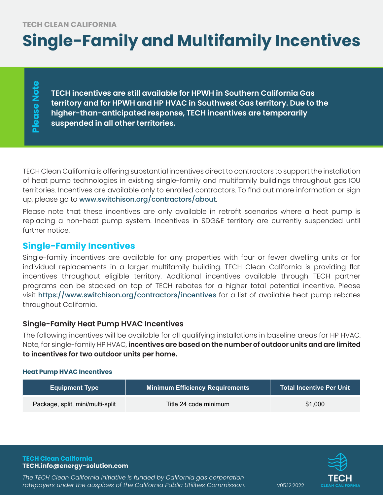# **Single-Family and Multifamily Incentives**

Please Note **Please Note**

**TECH incentives are still available for HPWH in Southern California Gas territory and for HPWH and HP HVAC in Southwest Gas territory. Due to the higher-than-anticipated response, TECH incentives are temporarily suspended in all other territories.**

TECH Clean California is offering substantial incentives direct to contractors to support the installation of heat pump technologies in existing single-family and multifamily buildings throughout gas IOU territories. Incentives are available only to enrolled contractors. To find out more information or sign up, please go to www.switchison.org/contractors/about.

Please note that these incentives are only available in retrofit scenarios where a heat pump is replacing a non-heat pump system. Incentives in SDG&E territory are currently suspended until further notice.

# **Single-Family Incentives**

Single-family incentives are available for any properties with four or fewer dwelling units or for individual replacements in a larger multifamily building. TECH Clean California is providing flat incentives throughout eligible territory. Additional incentives available through TECH partner programs can be stacked on top of TECH rebates for a higher total potential incentive. Please visit https://www.switchison.org/contractors/incentives for a list of available heat pump rebates throughout California.

# **Single-Family Heat Pump HVAC Incentives**

The following incentives will be available for all qualifying installations in baseline areas for HP HVAC. Note, for single-family HP HVAC, **incentives are based on the number of outdoor units and are limited to incentives for two outdoor units per home.** 

## **Heat Pump HVAC Incentives**

| <b>Equipment Type</b>            | Minimum Efficiency Requirements | <b>Total Incentive Per Unit</b> |
|----------------------------------|---------------------------------|---------------------------------|
| Package, split, mini/multi-split | Title 24 code minimum           | \$1,000                         |



*The TECH Clean California initiative is funded by California gas corporation*  ratepayers under the auspices of the California Public Utilities Commission. vas.12.2022

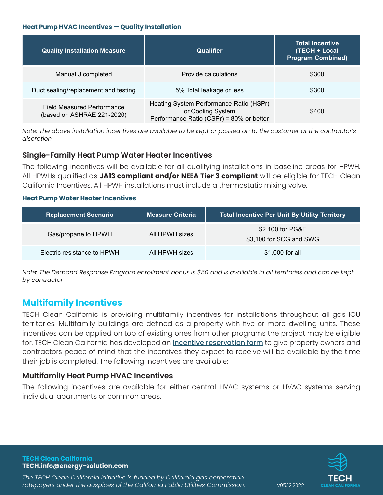#### **Heat Pump HVAC Incentives — Quality Installation**

| <b>Quality Installation Measure</b>                             | Qualifier                                                                                                | <b>Total Incentive</b><br>(TECH + Local<br><b>Program Combined)</b> |
|-----------------------------------------------------------------|----------------------------------------------------------------------------------------------------------|---------------------------------------------------------------------|
| Manual J completed                                              | Provide calculations                                                                                     | \$300                                                               |
| Duct sealing/replacement and testing                            | 5% Total leakage or less                                                                                 | \$300                                                               |
| <b>Field Measured Performance</b><br>(based on ASHRAE 221-2020) | Heating System Performance Ratio (HSPr)<br>or Cooling System<br>Performance Ratio (CSPr) = 80% or better | \$400                                                               |

*Note: The above installation incentives are available to be kept or passed on to the customer at the contractor's discretion.*

## **Single-Family Heat Pump Water Heater Incentives**

The following incentives will be available for all qualifying installations in baseline areas for HPWH. All HPWHs qualified as **JA13 compliant and/or NEEA Tier 3 compliant** will be eligible for TECH Clean California Incentives. All HPWH installations must include a thermostatic mixing valve.

#### **Heat Pump Water Heater Incentives**

| <b>Replacement Scenario</b> | <b>Measure Criteria</b> | Total Incentive Per Unit By Utility Territory |
|-----------------------------|-------------------------|-----------------------------------------------|
| Gas/propane to HPWH         | All HPWH sizes          | \$2,100 for PG&E<br>\$3,100 for SCG and SWG   |
| Electric resistance to HPWH | All HPWH sizes          | \$1,000 for all                               |

*Note: The Demand Response Program enrollment bonus is \$50 and is available in all territories and can be kept by contractor*

# **Multifamily Incentives**

TECH Clean California is providing multifamily incentives for installations throughout all gas IOU territories. Multifamily buildings are defined as a property with five or more dwelling units. These incentives can be applied on top of existing ones from other programs the project may be eligible for. TECH Clean California has developed an *incentive reservation form* to give property owners and contractors peace of mind that the incentives they expect to receive will be available by the time their job is completed. The following incentives are available:

## **Multifamily Heat Pump HVAC Incentives**

The following incentives are available for either central HVAC systems or HVAC systems serving individual apartments or common areas.

**TECH Clean California TECH.info@energy-solution.com**

*The TECH Clean California initiative is funded by California gas corporation*  ratepayers under the auspices of the California Public Utilities Commission. vas.12.2022

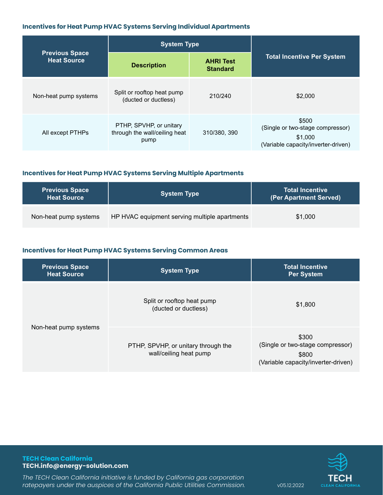#### **Incentives for Heat Pump HVAC Systems Serving Individual Apartments**

|                                             | <b>System Type</b>                                               |                                     |                                                                                             |
|---------------------------------------------|------------------------------------------------------------------|-------------------------------------|---------------------------------------------------------------------------------------------|
| <b>Previous Space</b><br><b>Heat Source</b> | <b>Description</b>                                               | <b>AHRI Test</b><br><b>Standard</b> | <b>Total Incentive Per System</b>                                                           |
| Non-heat pump systems                       | Split or rooftop heat pump<br>(ducted or ductless)               | 210/240                             | \$2,000                                                                                     |
| All except PTHPs                            | PTHP, SPVHP, or unitary<br>through the wall/ceiling heat<br>pump | 310/380, 390                        | \$500<br>(Single or two-stage compressor)<br>\$1,000<br>(Variable capacity/inverter-driven) |

## **Incentives for Heat Pump HVAC Systems Serving Multiple Apartments**

| <b>Previous Space</b><br><b>Heat Source</b> | <b>System Type</b>                            | <b>Total Incentive</b><br>(Per Apartment Served) |
|---------------------------------------------|-----------------------------------------------|--------------------------------------------------|
| Non-heat pump systems                       | HP HVAC equipment serving multiple apartments | \$1,000                                          |

# **Incentives for Heat Pump HVAC Systems Serving Common Areas**

| <b>Previous Space</b><br><b>Heat Source</b> | <b>System Type</b>                                            | <b>Total Incentive</b><br><b>Per System</b>                                               |
|---------------------------------------------|---------------------------------------------------------------|-------------------------------------------------------------------------------------------|
| Non-heat pump systems                       | Split or rooftop heat pump<br>(ducted or ductless)            | \$1,800                                                                                   |
|                                             | PTHP, SPVHP, or unitary through the<br>wall/ceiling heat pump | \$300<br>(Single or two-stage compressor)<br>\$800<br>(Variable capacity/inverter-driven) |

#### **TECH Clean California TECH.info@energy-solution.com**

*The TECH Clean California initiative is funded by California gas corporation*  ratepayers under the auspices of the California Public Utilities Commission. v05.12.2022